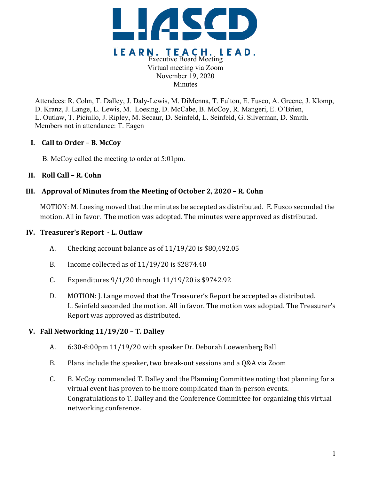

Attendees: R. Cohn, T. Dalley, J. Daly-Lewis, M. DiMenna, T. Fulton, E. Fusco, A. Greene, J. Klomp, D. Kranz, J. Lange, L. Lewis, M. Loesing, D. McCabe, B. McCoy, R. Mangeri, E. O'Brien, L. Outlaw, T. Piciullo, J. Ripley, M. Secaur, D. Seinfeld, L. Seinfeld, G. Silverman, D. Smith. Members not in attendance: T. Eagen

### **I. Call to Order – B. McCoy**

B. McCoy called the meeting to order at 5:01pm.

## **II. Roll Call – R. Cohn**

## **III. Approval of Minutes from the Meeting of October 2, 2020 – R. Cohn**

MOTION: M. Loesing moved that the minutes be accepted as distributed. E. Fusco seconded the motion. All in favor. The motion was adopted. The minutes were approved as distributed.

### **IV. Treasurer's Report - L. Outlaw**

- A. Checking account balance as of  $11/19/20$  is \$80,492.05
- B. Income collected as of  $11/19/20$  is \$2874.40
- C. Expenditures  $9/1/20$  through  $11/19/20$  is \$9742.92
- D. MOTION: J. Lange moved that the Treasurer's Report be accepted as distributed. L. Seinfeld seconded the motion. All in favor. The motion was adopted. The Treasurer's Report was approved as distributed.

### **V. Fall Networking 11/19/20 – T. Dalley**

- A. 6:30-8:00pm 11/19/20 with speaker Dr. Deborah Loewenberg Ball
- B. Plans include the speaker, two break-out sessions and a Q&A via Zoom
- C. B. McCoy commended T. Dalley and the Planning Committee noting that planning for a virtual event has proven to be more complicated than in-person events. Congratulations to T. Dalley and the Conference Committee for organizing this virtual networking conference.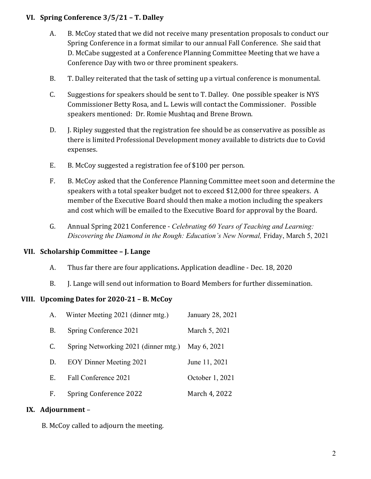# **VI. Spring Conference 3/5/21 – T. Dalley**

- A. B. McCoy stated that we did not receive many presentation proposals to conduct our Spring Conference in a format similar to our annual Fall Conference. She said that D. McCabe suggested at a Conference Planning Committee Meeting that we have a Conference Day with two or three prominent speakers.
- B. T. Dalley reiterated that the task of setting up a virtual conference is monumental.
- $C.$  Suggestions for speakers should be sent to T. Dalley. One possible speaker is NYS Commissioner Betty Rosa, and L. Lewis will contact the Commissioner. Possible speakers mentioned: Dr. Romie Mushtaq and Brene Brown.
- D. J. Ripley suggested that the registration fee should be as conservative as possible as there is limited Professional Development money available to districts due to Covid expenses.
- E. B. McCoy suggested a registration fee of \$100 per person.
- F. B. McCoy asked that the Conference Planning Committee meet soon and determine the speakers with a total speaker budget not to exceed \$12,000 for three speakers. A member of the Executive Board should then make a motion including the speakers and cost which will be emailed to the Executive Board for approval by the Board.
- G. Annual Spring 2021 Conference *Celebrating 60 Years of Teaching and Learning: Discovering the Diamond in the Rough: Education's New Normal,* Friday, March 5, 2021

# **VII. Scholarship Committee – J. Lange**

- A. Thus far there are four applications. Application deadline Dec. 18, 2020
- B. J. Lange will send out information to Board Members for further dissemination.

# **VIII. Upcoming Dates for 2020-21 – B. McCoy**

| А. | Winter Meeting 2021 (dinner mtg.)    | January 28, 2021 |
|----|--------------------------------------|------------------|
| В. | Spring Conference 2021               | March 5, 2021    |
| C. | Spring Networking 2021 (dinner mtg.) | May 6, 2021      |
| D. | <b>EOY Dinner Meeting 2021</b>       | June 11, 2021    |
| E. | Fall Conference 2021                 | October 1, 2021  |
| F. | Spring Conference 2022               | March 4, 2022    |

### **IX. Adjournment** –

B. McCoy called to adjourn the meeting.